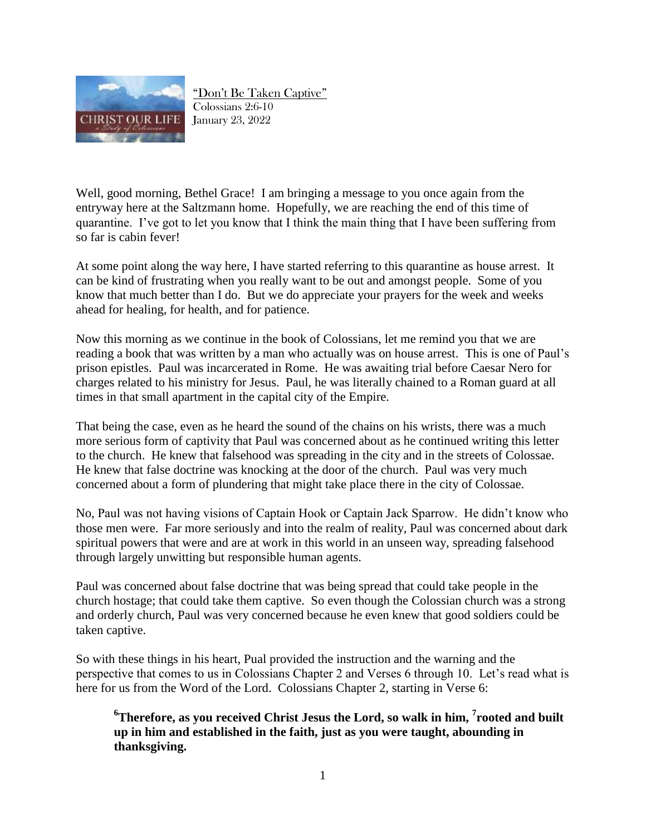

"Don't Be Taken Captive" Colossians 2:6-10 January 23, 2022

Well, good morning, Bethel Grace! I am bringing a message to you once again from the entryway here at the Saltzmann home. Hopefully, we are reaching the end of this time of quarantine. I've got to let you know that I think the main thing that I have been suffering from so far is cabin fever!

At some point along the way here, I have started referring to this quarantine as house arrest. It can be kind of frustrating when you really want to be out and amongst people. Some of you know that much better than I do. But we do appreciate your prayers for the week and weeks ahead for healing, for health, and for patience.

Now this morning as we continue in the book of Colossians, let me remind you that we are reading a book that was written by a man who actually was on house arrest. This is one of Paul's prison epistles. Paul was incarcerated in Rome. He was awaiting trial before Caesar Nero for charges related to his ministry for Jesus. Paul, he was literally chained to a Roman guard at all times in that small apartment in the capital city of the Empire.

That being the case, even as he heard the sound of the chains on his wrists, there was a much more serious form of captivity that Paul was concerned about as he continued writing this letter to the church. He knew that falsehood was spreading in the city and in the streets of Colossae. He knew that false doctrine was knocking at the door of the church. Paul was very much concerned about a form of plundering that might take place there in the city of Colossae.

No, Paul was not having visions of Captain Hook or Captain Jack Sparrow. He didn't know who those men were. Far more seriously and into the realm of reality, Paul was concerned about dark spiritual powers that were and are at work in this world in an unseen way, spreading falsehood through largely unwitting but responsible human agents.

Paul was concerned about false doctrine that was being spread that could take people in the church hostage; that could take them captive. So even though the Colossian church was a strong and orderly church, Paul was very concerned because he even knew that good soldiers could be taken captive.

So with these things in his heart, Pual provided the instruction and the warning and the perspective that comes to us in Colossians Chapter 2 and Verses 6 through 10. Let's read what is here for us from the Word of the Lord. Colossians Chapter 2, starting in Verse 6:

**<sup>6</sup>Therefore, as you received Christ Jesus the Lord, so walk in him, <sup>7</sup> rooted and built up in him and established in the faith, just as you were taught, abounding in thanksgiving.**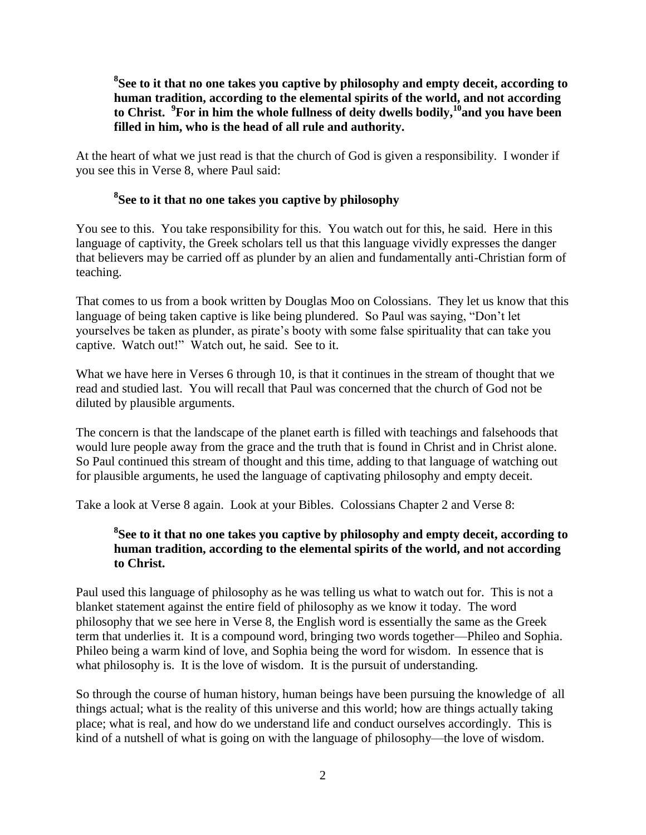**8 See to it that no one takes you captive by philosophy and empty deceit, according to human tradition, according to the elemental spirits of the world, and not according to Christ. <sup>9</sup> For in him the whole fullness of deity dwells bodily,<sup>10</sup>and you have been filled in him, who is the head of all rule and authority.** 

At the heart of what we just read is that the church of God is given a responsibility. I wonder if you see this in Verse 8, where Paul said:

### **8 See to it that no one takes you captive by philosophy**

You see to this. You take responsibility for this. You watch out for this, he said. Here in this language of captivity, the Greek scholars tell us that this language vividly expresses the danger that believers may be carried off as plunder by an alien and fundamentally anti-Christian form of teaching.

That comes to us from a book written by Douglas Moo on Colossians. They let us know that this language of being taken captive is like being plundered. So Paul was saying, "Don't let yourselves be taken as plunder, as pirate's booty with some false spirituality that can take you captive. Watch out!" Watch out, he said. See to it.

What we have here in Verses 6 through 10, is that it continues in the stream of thought that we read and studied last. You will recall that Paul was concerned that the church of God not be diluted by plausible arguments.

The concern is that the landscape of the planet earth is filled with teachings and falsehoods that would lure people away from the grace and the truth that is found in Christ and in Christ alone. So Paul continued this stream of thought and this time, adding to that language of watching out for plausible arguments, he used the language of captivating philosophy and empty deceit.

Take a look at Verse 8 again. Look at your Bibles. Colossians Chapter 2 and Verse 8:

#### **8 See to it that no one takes you captive by philosophy and empty deceit, according to human tradition, according to the elemental spirits of the world, and not according to Christ.**

Paul used this language of philosophy as he was telling us what to watch out for. This is not a blanket statement against the entire field of philosophy as we know it today. The word philosophy that we see here in Verse 8, the English word is essentially the same as the Greek term that underlies it. It is a compound word, bringing two words together—Phileo and Sophia. Phileo being a warm kind of love, and Sophia being the word for wisdom. In essence that is what philosophy is. It is the love of wisdom. It is the pursuit of understanding.

So through the course of human history, human beings have been pursuing the knowledge of all things actual; what is the reality of this universe and this world; how are things actually taking place; what is real, and how do we understand life and conduct ourselves accordingly. This is kind of a nutshell of what is going on with the language of philosophy—the love of wisdom.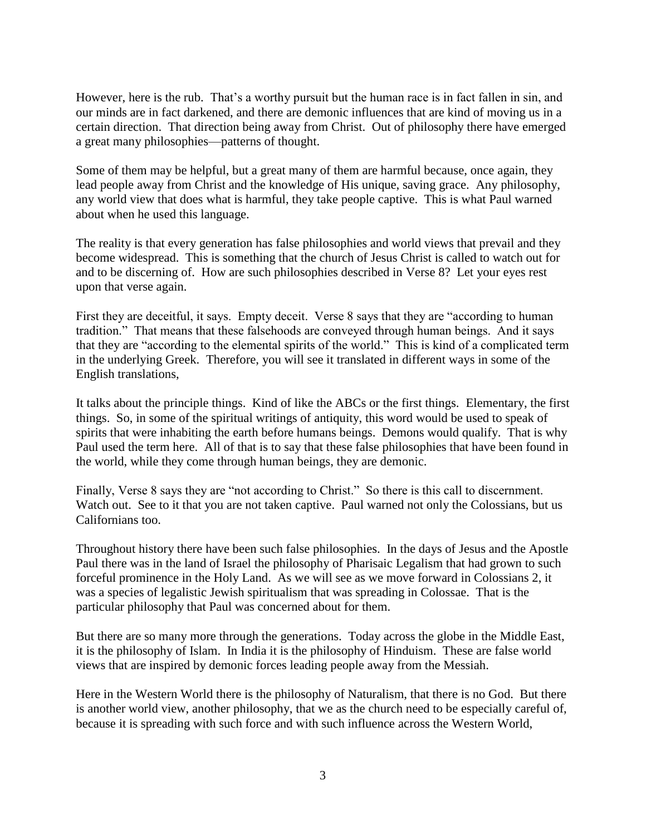However, here is the rub. That's a worthy pursuit but the human race is in fact fallen in sin, and our minds are in fact darkened, and there are demonic influences that are kind of moving us in a certain direction. That direction being away from Christ. Out of philosophy there have emerged a great many philosophies—patterns of thought.

Some of them may be helpful, but a great many of them are harmful because, once again, they lead people away from Christ and the knowledge of His unique, saving grace. Any philosophy, any world view that does what is harmful, they take people captive. This is what Paul warned about when he used this language.

The reality is that every generation has false philosophies and world views that prevail and they become widespread. This is something that the church of Jesus Christ is called to watch out for and to be discerning of. How are such philosophies described in Verse 8? Let your eyes rest upon that verse again.

First they are deceitful, it says. Empty deceit. Verse 8 says that they are "according to human tradition." That means that these falsehoods are conveyed through human beings. And it says that they are "according to the elemental spirits of the world." This is kind of a complicated term in the underlying Greek. Therefore, you will see it translated in different ways in some of the English translations,

It talks about the principle things. Kind of like the ABCs or the first things. Elementary, the first things. So, in some of the spiritual writings of antiquity, this word would be used to speak of spirits that were inhabiting the earth before humans beings. Demons would qualify. That is why Paul used the term here. All of that is to say that these false philosophies that have been found in the world, while they come through human beings, they are demonic.

Finally, Verse 8 says they are "not according to Christ." So there is this call to discernment. Watch out. See to it that you are not taken captive. Paul warned not only the Colossians, but us Californians too.

Throughout history there have been such false philosophies. In the days of Jesus and the Apostle Paul there was in the land of Israel the philosophy of Pharisaic Legalism that had grown to such forceful prominence in the Holy Land. As we will see as we move forward in Colossians 2, it was a species of legalistic Jewish spiritualism that was spreading in Colossae. That is the particular philosophy that Paul was concerned about for them.

But there are so many more through the generations. Today across the globe in the Middle East, it is the philosophy of Islam. In India it is the philosophy of Hinduism. These are false world views that are inspired by demonic forces leading people away from the Messiah.

Here in the Western World there is the philosophy of Naturalism, that there is no God. But there is another world view, another philosophy, that we as the church need to be especially careful of, because it is spreading with such force and with such influence across the Western World,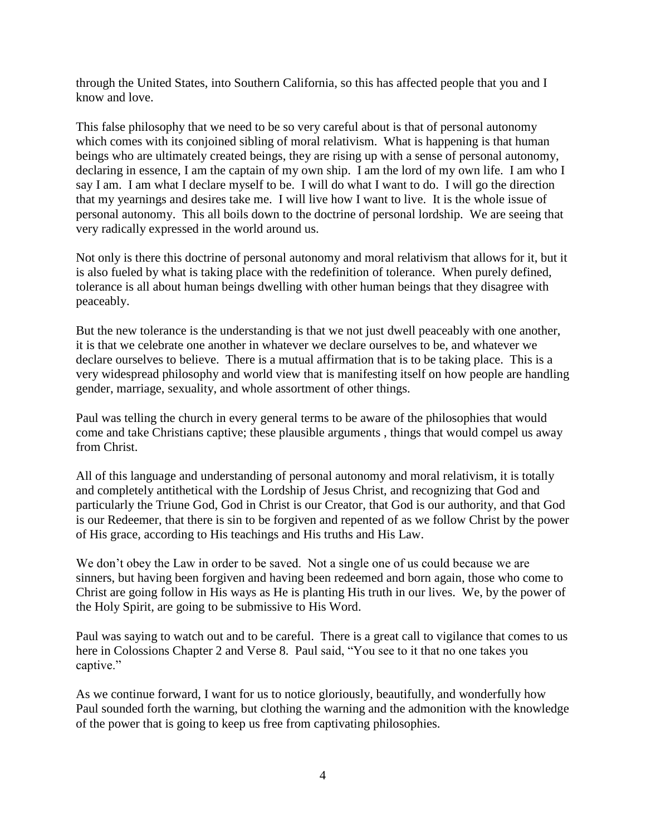through the United States, into Southern California, so this has affected people that you and I know and love.

This false philosophy that we need to be so very careful about is that of personal autonomy which comes with its conjoined sibling of moral relativism. What is happening is that human beings who are ultimately created beings, they are rising up with a sense of personal autonomy, declaring in essence, I am the captain of my own ship. I am the lord of my own life. I am who I say I am. I am what I declare myself to be. I will do what I want to do. I will go the direction that my yearnings and desires take me. I will live how I want to live. It is the whole issue of personal autonomy. This all boils down to the doctrine of personal lordship. We are seeing that very radically expressed in the world around us.

Not only is there this doctrine of personal autonomy and moral relativism that allows for it, but it is also fueled by what is taking place with the redefinition of tolerance. When purely defined, tolerance is all about human beings dwelling with other human beings that they disagree with peaceably.

But the new tolerance is the understanding is that we not just dwell peaceably with one another, it is that we celebrate one another in whatever we declare ourselves to be, and whatever we declare ourselves to believe. There is a mutual affirmation that is to be taking place. This is a very widespread philosophy and world view that is manifesting itself on how people are handling gender, marriage, sexuality, and whole assortment of other things.

Paul was telling the church in every general terms to be aware of the philosophies that would come and take Christians captive; these plausible arguments , things that would compel us away from Christ.

All of this language and understanding of personal autonomy and moral relativism, it is totally and completely antithetical with the Lordship of Jesus Christ, and recognizing that God and particularly the Triune God, God in Christ is our Creator, that God is our authority, and that God is our Redeemer, that there is sin to be forgiven and repented of as we follow Christ by the power of His grace, according to His teachings and His truths and His Law.

We don't obey the Law in order to be saved. Not a single one of us could because we are sinners, but having been forgiven and having been redeemed and born again, those who come to Christ are going follow in His ways as He is planting His truth in our lives. We, by the power of the Holy Spirit, are going to be submissive to His Word.

Paul was saying to watch out and to be careful. There is a great call to vigilance that comes to us here in Colossions Chapter 2 and Verse 8. Paul said, "You see to it that no one takes you captive."

As we continue forward, I want for us to notice gloriously, beautifully, and wonderfully how Paul sounded forth the warning, but clothing the warning and the admonition with the knowledge of the power that is going to keep us free from captivating philosophies.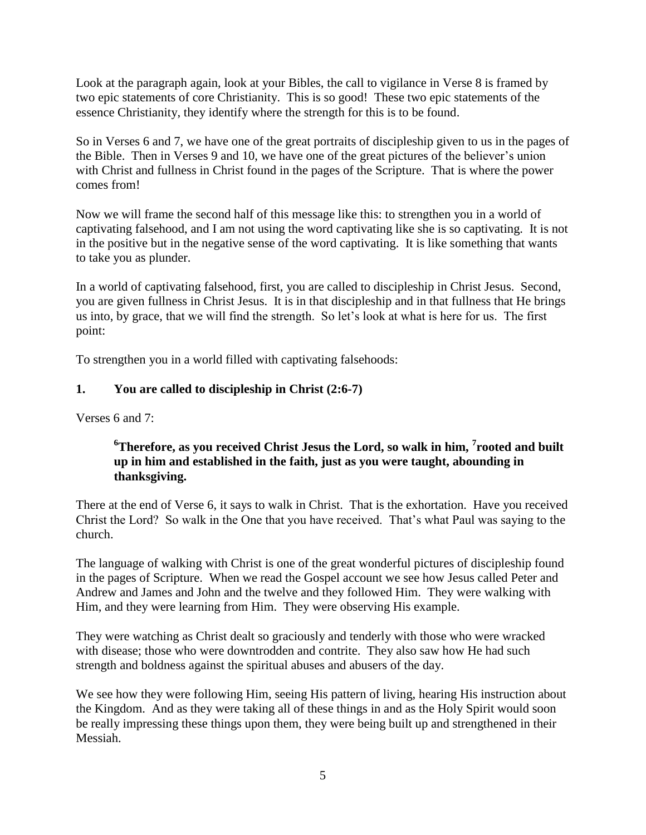Look at the paragraph again, look at your Bibles, the call to vigilance in Verse 8 is framed by two epic statements of core Christianity. This is so good! These two epic statements of the essence Christianity, they identify where the strength for this is to be found.

So in Verses 6 and 7, we have one of the great portraits of discipleship given to us in the pages of the Bible. Then in Verses 9 and 10, we have one of the great pictures of the believer's union with Christ and fullness in Christ found in the pages of the Scripture. That is where the power comes from!

Now we will frame the second half of this message like this: to strengthen you in a world of captivating falsehood, and I am not using the word captivating like she is so captivating. It is not in the positive but in the negative sense of the word captivating. It is like something that wants to take you as plunder.

In a world of captivating falsehood, first, you are called to discipleship in Christ Jesus. Second, you are given fullness in Christ Jesus. It is in that discipleship and in that fullness that He brings us into, by grace, that we will find the strength. So let's look at what is here for us. The first point:

To strengthen you in a world filled with captivating falsehoods:

## **1. You are called to discipleship in Christ (2:6-7)**

Verses 6 and 7:

### **<sup>6</sup>Therefore, as you received Christ Jesus the Lord, so walk in him, <sup>7</sup> rooted and built up in him and established in the faith, just as you were taught, abounding in thanksgiving.**

There at the end of Verse 6, it says to walk in Christ. That is the exhortation. Have you received Christ the Lord? So walk in the One that you have received. That's what Paul was saying to the church.

The language of walking with Christ is one of the great wonderful pictures of discipleship found in the pages of Scripture. When we read the Gospel account we see how Jesus called Peter and Andrew and James and John and the twelve and they followed Him. They were walking with Him, and they were learning from Him. They were observing His example.

They were watching as Christ dealt so graciously and tenderly with those who were wracked with disease; those who were downtrodden and contrite. They also saw how He had such strength and boldness against the spiritual abuses and abusers of the day.

We see how they were following Him, seeing His pattern of living, hearing His instruction about the Kingdom. And as they were taking all of these things in and as the Holy Spirit would soon be really impressing these things upon them, they were being built up and strengthened in their Messiah.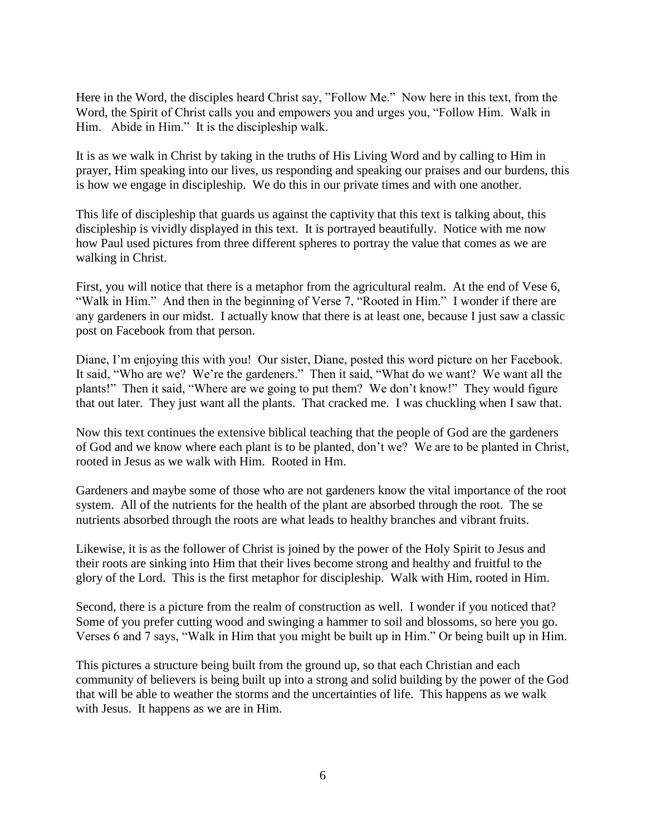Here in the Word, the disciples heard Christ say, "Follow Me." Now here in this text, from the Word, the Spirit of Christ calls you and empowers you and urges you, "Follow Him. Walk in Him. Abide in Him." It is the discipleship walk.

It is as we walk in Christ by taking in the truths of His Living Word and by calling to Him in prayer, Him speaking into our lives, us responding and speaking our praises and our burdens, this is how we engage in discipleship. We do this in our private times and with one another.

This life of discipleship that guards us against the captivity that this text is talking about, this discipleship is vividly displayed in this text. It is portrayed beautifully. Notice with me now how Paul used pictures from three different spheres to portray the value that comes as we are walking in Christ.

First, you will notice that there is a metaphor from the agricultural realm. At the end of Vese 6, "Walk in Him." And then in the beginning of Verse 7, "Rooted in Him." I wonder if there are any gardeners in our midst. I actually know that there is at least one, because I just saw a classic post on Facebook from that person.

Diane, I'm enjoying this with you! Our sister, Diane, posted this word picture on her Facebook. It said, "Who are we? We're the gardeners." Then it said, "What do we want? We want all the plants!" Then it said, "Where are we going to put them? We don't know!" They would figure that out later. They just want all the plants. That cracked me. I was chuckling when I saw that.

Now this text continues the extensive biblical teaching that the people of God are the gardeners of God and we know where each plant is to be planted, don't we? We are to be planted in Christ, rooted in Jesus as we walk with Him. Rooted in Hm.

Gardeners and maybe some of those who are not gardeners know the vital importance of the root system. All of the nutrients for the health of the plant are absorbed through the root. The se nutrients absorbed through the roots are what leads to healthy branches and vibrant fruits.

Likewise, it is as the follower of Christ is joined by the power of the Holy Spirit to Jesus and their roots are sinking into Him that their lives become strong and healthy and fruitful to the glory of the Lord. This is the first metaphor for discipleship. Walk with Him, rooted in Him.

Second, there is a picture from the realm of construction as well. I wonder if you noticed that? Some of you prefer cutting wood and swinging a hammer to soil and blossoms, so here you go. Verses 6 and 7 says, "Walk in Him that you might be built up in Him." Or being built up in Him.

This pictures a structure being built from the ground up, so that each Christian and each community of believers is being built up into a strong and solid building by the power of the God that will be able to weather the storms and the uncertainties of life. This happens as we walk with Jesus. It happens as we are in Him.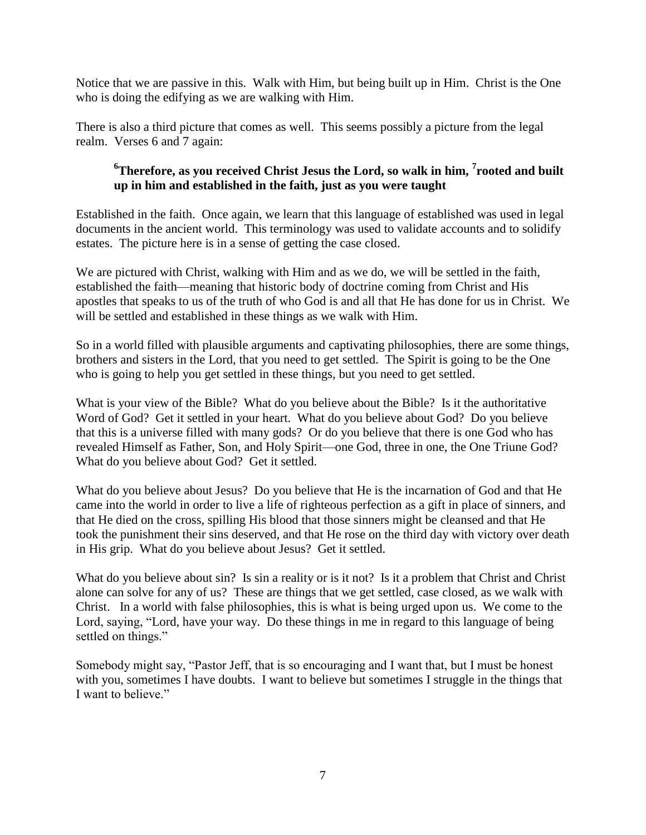Notice that we are passive in this. Walk with Him, but being built up in Him. Christ is the One who is doing the edifying as we are walking with Him.

There is also a third picture that comes as well. This seems possibly a picture from the legal realm. Verses 6 and 7 again:

### **<sup>6</sup>Therefore, as you received Christ Jesus the Lord, so walk in him, <sup>7</sup> rooted and built up in him and established in the faith, just as you were taught**

Established in the faith. Once again, we learn that this language of established was used in legal documents in the ancient world. This terminology was used to validate accounts and to solidify estates. The picture here is in a sense of getting the case closed.

We are pictured with Christ, walking with Him and as we do, we will be settled in the faith, established the faith—meaning that historic body of doctrine coming from Christ and His apostles that speaks to us of the truth of who God is and all that He has done for us in Christ. We will be settled and established in these things as we walk with Him.

So in a world filled with plausible arguments and captivating philosophies, there are some things, brothers and sisters in the Lord, that you need to get settled. The Spirit is going to be the One who is going to help you get settled in these things, but you need to get settled.

What is your view of the Bible? What do you believe about the Bible? Is it the authoritative Word of God? Get it settled in your heart. What do you believe about God? Do you believe that this is a universe filled with many gods? Or do you believe that there is one God who has revealed Himself as Father, Son, and Holy Spirit—one God, three in one, the One Triune God? What do you believe about God? Get it settled.

What do you believe about Jesus? Do you believe that He is the incarnation of God and that He came into the world in order to live a life of righteous perfection as a gift in place of sinners, and that He died on the cross, spilling His blood that those sinners might be cleansed and that He took the punishment their sins deserved, and that He rose on the third day with victory over death in His grip. What do you believe about Jesus? Get it settled.

What do you believe about sin? Is sin a reality or is it not? Is it a problem that Christ and Christ alone can solve for any of us? These are things that we get settled, case closed, as we walk with Christ. In a world with false philosophies, this is what is being urged upon us. We come to the Lord, saying, "Lord, have your way. Do these things in me in regard to this language of being settled on things."

Somebody might say, "Pastor Jeff, that is so encouraging and I want that, but I must be honest with you, sometimes I have doubts. I want to believe but sometimes I struggle in the things that I want to believe."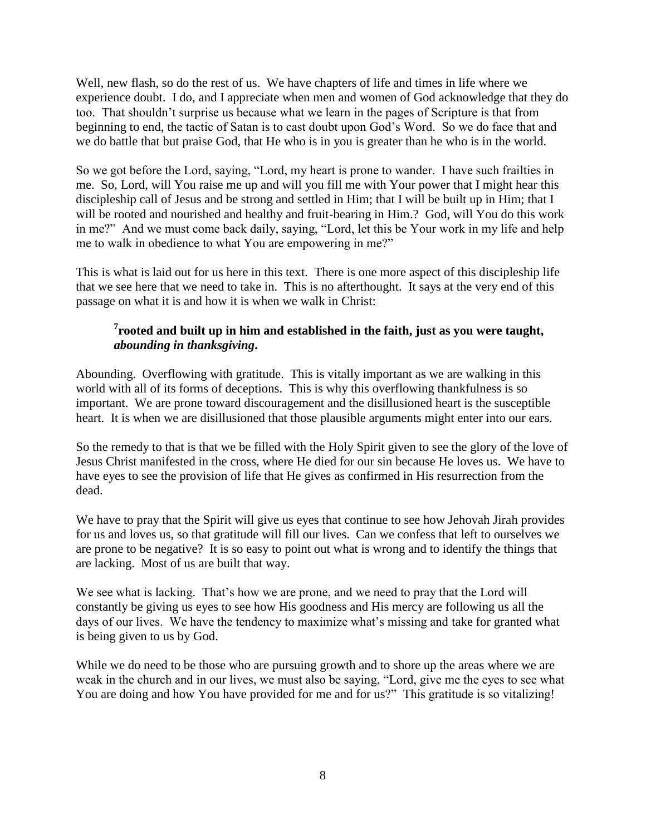Well, new flash, so do the rest of us. We have chapters of life and times in life where we experience doubt. I do, and I appreciate when men and women of God acknowledge that they do too. That shouldn't surprise us because what we learn in the pages of Scripture is that from beginning to end, the tactic of Satan is to cast doubt upon God's Word. So we do face that and we do battle that but praise God, that He who is in you is greater than he who is in the world.

So we got before the Lord, saying, "Lord, my heart is prone to wander. I have such frailties in me. So, Lord, will You raise me up and will you fill me with Your power that I might hear this discipleship call of Jesus and be strong and settled in Him; that I will be built up in Him; that I will be rooted and nourished and healthy and fruit-bearing in Him.? God, will You do this work in me?" And we must come back daily, saying, "Lord, let this be Your work in my life and help me to walk in obedience to what You are empowering in me?"

This is what is laid out for us here in this text. There is one more aspect of this discipleship life that we see here that we need to take in. This is no afterthought. It says at the very end of this passage on what it is and how it is when we walk in Christ:

#### **7 rooted and built up in him and established in the faith, just as you were taught,**  *abounding in thanksgiving***.**

Abounding. Overflowing with gratitude. This is vitally important as we are walking in this world with all of its forms of deceptions. This is why this overflowing thankfulness is so important. We are prone toward discouragement and the disillusioned heart is the susceptible heart. It is when we are disillusioned that those plausible arguments might enter into our ears.

So the remedy to that is that we be filled with the Holy Spirit given to see the glory of the love of Jesus Christ manifested in the cross, where He died for our sin because He loves us. We have to have eyes to see the provision of life that He gives as confirmed in His resurrection from the dead.

We have to pray that the Spirit will give us eyes that continue to see how Jehovah Jirah provides for us and loves us, so that gratitude will fill our lives. Can we confess that left to ourselves we are prone to be negative? It is so easy to point out what is wrong and to identify the things that are lacking. Most of us are built that way.

We see what is lacking. That's how we are prone, and we need to pray that the Lord will constantly be giving us eyes to see how His goodness and His mercy are following us all the days of our lives. We have the tendency to maximize what's missing and take for granted what is being given to us by God.

While we do need to be those who are pursuing growth and to shore up the areas where we are weak in the church and in our lives, we must also be saying, "Lord, give me the eyes to see what You are doing and how You have provided for me and for us?" This gratitude is so vitalizing!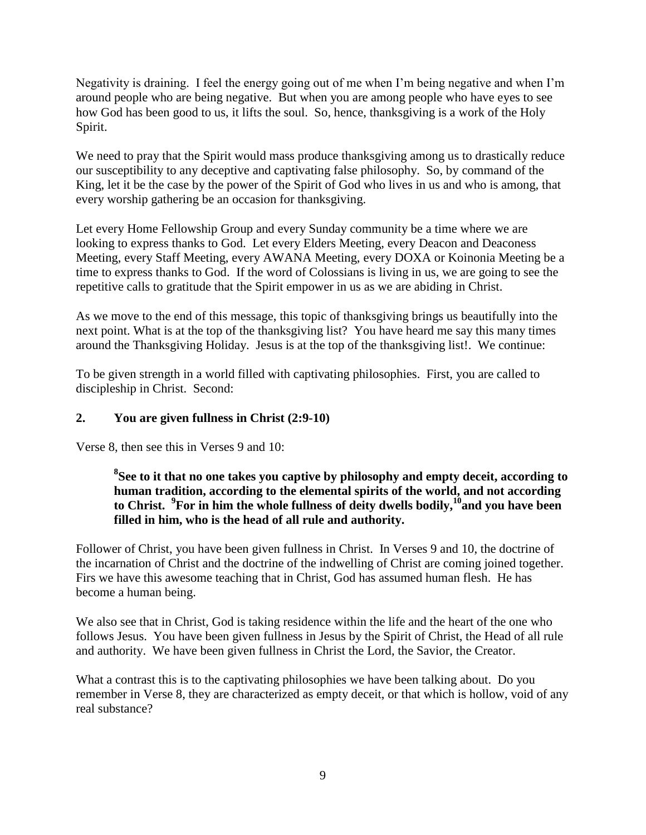Negativity is draining. I feel the energy going out of me when I'm being negative and when I'm around people who are being negative. But when you are among people who have eyes to see how God has been good to us, it lifts the soul. So, hence, thanksgiving is a work of the Holy Spirit.

We need to pray that the Spirit would mass produce thanksgiving among us to drastically reduce our susceptibility to any deceptive and captivating false philosophy. So, by command of the King, let it be the case by the power of the Spirit of God who lives in us and who is among, that every worship gathering be an occasion for thanksgiving.

Let every Home Fellowship Group and every Sunday community be a time where we are looking to express thanks to God. Let every Elders Meeting, every Deacon and Deaconess Meeting, every Staff Meeting, every AWANA Meeting, every DOXA or Koinonia Meeting be a time to express thanks to God. If the word of Colossians is living in us, we are going to see the repetitive calls to gratitude that the Spirit empower in us as we are abiding in Christ.

As we move to the end of this message, this topic of thanksgiving brings us beautifully into the next point. What is at the top of the thanksgiving list? You have heard me say this many times around the Thanksgiving Holiday. Jesus is at the top of the thanksgiving list!. We continue:

To be given strength in a world filled with captivating philosophies. First, you are called to discipleship in Christ. Second:

#### **2. You are given fullness in Christ (2:9-10)**

Verse 8, then see this in Verses 9 and 10:

**8 See to it that no one takes you captive by philosophy and empty deceit, according to human tradition, according to the elemental spirits of the world, and not according to Christ. <sup>9</sup> For in him the whole fullness of deity dwells bodily,<sup>10</sup>and you have been filled in him, who is the head of all rule and authority.**

Follower of Christ, you have been given fullness in Christ. In Verses 9 and 10, the doctrine of the incarnation of Christ and the doctrine of the indwelling of Christ are coming joined together. Firs we have this awesome teaching that in Christ, God has assumed human flesh. He has become a human being.

We also see that in Christ, God is taking residence within the life and the heart of the one who follows Jesus. You have been given fullness in Jesus by the Spirit of Christ, the Head of all rule and authority. We have been given fullness in Christ the Lord, the Savior, the Creator.

What a contrast this is to the captivating philosophies we have been talking about. Do you remember in Verse 8, they are characterized as empty deceit, or that which is hollow, void of any real substance?